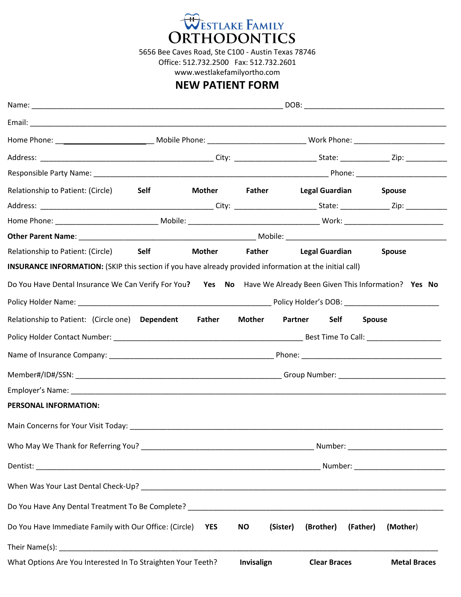

5656 Bee Caves Road, Ste C100 - Austin Texas 78746 Office: 512.732.2500 Fax: 512.732.2601

www.westlakefamilyortho.com

# **NEW PATIENT FORM**

| Relationship to Patient: (Circle)                                                                              | Self |            | Mother Father       |                       | <b>Legal Guardian</b> | <b>Spouse</b> |  |
|----------------------------------------------------------------------------------------------------------------|------|------------|---------------------|-----------------------|-----------------------|---------------|--|
|                                                                                                                |      |            |                     |                       |                       |               |  |
|                                                                                                                |      |            |                     |                       |                       |               |  |
|                                                                                                                |      |            |                     |                       |                       |               |  |
| Relationship to Patient: (Circle) Self                                                                         |      |            | Mother Father       |                       | <b>Legal Guardian</b> | <b>Spouse</b> |  |
| <b>INSURANCE INFORMATION:</b> (SKIP this section if you have already provided information at the initial call) |      |            |                     |                       |                       |               |  |
| Do You Have Dental Insurance We Can Verify For You? Yes No Have We Already Been Given This Information? Yes No |      |            |                     |                       |                       |               |  |
|                                                                                                                |      |            |                     |                       |                       |               |  |
| Relationship to Patient: (Circle one) Dependent                                                                |      | Father     |                     | Mother Partner Self   | <b>Spouse</b>         |               |  |
|                                                                                                                |      |            |                     |                       |                       |               |  |
|                                                                                                                |      |            |                     |                       |                       |               |  |
|                                                                                                                |      |            |                     |                       |                       |               |  |
|                                                                                                                |      |            |                     |                       |                       |               |  |
| PERSONAL INFORMATION:                                                                                          |      |            |                     |                       |                       |               |  |
|                                                                                                                |      |            |                     |                       |                       |               |  |
|                                                                                                                |      |            |                     |                       |                       |               |  |
|                                                                                                                |      |            |                     |                       |                       |               |  |
|                                                                                                                |      |            |                     |                       |                       |               |  |
|                                                                                                                |      |            |                     |                       |                       |               |  |
| Do You Have Immediate Family with Our Office: (Circle)                                                         |      | <b>YES</b> | <b>NO</b>           | (Sister)<br>(Brother) | (Father)              | (Mother)      |  |
|                                                                                                                |      |            |                     |                       |                       |               |  |
| What Options Are You Interested In To Straighten Your Teeth?                                                   |      | Invisalign | <b>Clear Braces</b> |                       | <b>Metal Braces</b>   |               |  |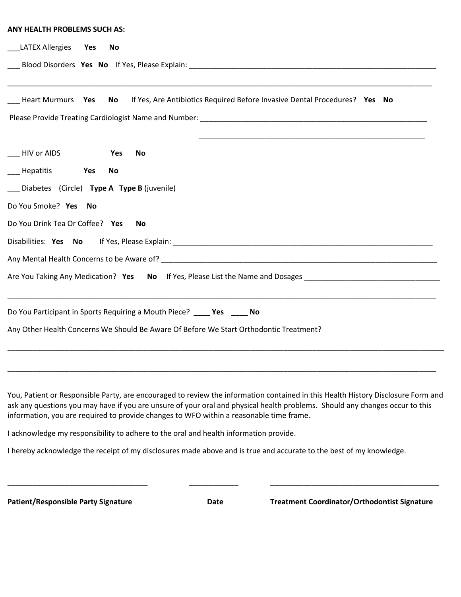| ANY HEALTH PROBLEMS SUCH AS:                                                                    |
|-------------------------------------------------------------------------------------------------|
| <b>LATEX Allergies</b><br>Yes<br>No                                                             |
|                                                                                                 |
| Heart Murmurs Yes No If Yes, Are Antibiotics Required Before Invasive Dental Procedures? Yes No |
| HIV or AIDS<br>Yes<br><b>No</b>                                                                 |
| Hepatitis<br>Yes<br><b>No</b>                                                                   |
| __ Diabetes (Circle) Type A Type B (juvenile)                                                   |
| Do You Smoke? Yes No                                                                            |
| Do You Drink Tea Or Coffee? Yes<br>No                                                           |
|                                                                                                 |
|                                                                                                 |
| Are You Taking Any Medication? Yes No If Yes, Please List the Name and Dosages                  |
| Do You Participant in Sports Requiring a Mouth Piece? ____ Yes ____ No                          |
| Any Other Health Concerns We Should Be Aware Of Before We Start Orthodontic Treatment?          |
|                                                                                                 |

You, Patient or Responsible Party, are encouraged to review the information contained in this Health History Disclosure Form and ask any questions you may have if you are unsure of your oral and physical health problems. Should any changes occur to this information, you are required to provide changes to WFO within a reasonable time frame.

I acknowledge my responsibility to adhere to the oral and health information provide.

I hereby acknowledge the receipt of my disclosures made above and is true and accurate to the best of my knowledge.

\_\_\_\_\_\_\_\_\_\_\_\_\_\_\_\_\_\_\_\_\_\_\_\_\_\_\_\_\_\_\_\_\_\_ \_\_\_\_\_\_\_\_\_\_\_\_ \_\_\_\_\_\_\_\_\_\_\_\_\_\_\_\_\_\_\_\_\_\_\_\_\_\_\_\_\_\_\_\_\_\_\_\_\_\_\_\_\_

Patient/Responsible Party Signature **Date** Date **Date** Treatment Coordinator/Orthodontist Signature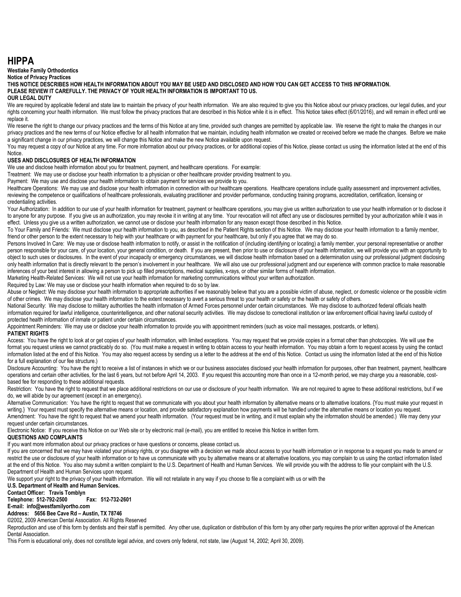## **HIPPA**

### **Westlake Family Orthodontics**

**Notice of Privacy Practices**

**THIS NOTICE DESCRIBES HOW HEALTH INFORMATION ABOUT YOU MAY BE USED AND DISCLOSED AND HOW YOU CAN GET ACCESS TO THIS INFORMATION. PLEASE REVIEW IT CAREFULLY. THE PRIVACY OF YOUR HEALTH INFORMATION IS IMPORTANT TO US.**

## **OUR LEGAL DUTY**

We are required by applicable federal and state law to maintain the privacy of your health information. We are also required to give you this Notice about our privacy practices, our legal duties, and your rights concerning your health information. We must follow the privacy practices that are described in this Notice while it is in effect. This Notice takes effect (6/01/2016), and will remain in effect until we replace it.

We reserve the right to change our privacy practices and the terms of this Notice at any time, provided such changes are permitted by applicable law. We reserve the right to make the changes in our privacy practices and the new terms of our Notice effective for all health information that we maintain, including health information we created or received before we made the changes. Before we make a significant change in our privacy practices, we will change this Notice and make the new Notice available upon request.

You may request a copy of our Notice at any time. For more information about our privacy practices, or for additional copies of this Notice, please contact us using the information listed at the end of this **Notice** 

## **USES AND DISCLOSURES OF HEALTH INFORMATION**

We use and disclose health information about you for treatment, payment, and healthcare operations. For example:

Treatment: We may use or disclose your health information to a physician or other healthcare provider providing treatment to you.

Payment: We may use and disclose your health information to obtain payment for services we provide to you.

Healthcare Operations: We may use and disclose your health information in connection with our healthcare operations. Healthcare operations include quality assessment and improvement activities, reviewing the competence or qualifications of healthcare professionals, evaluating practitioner and provider performance, conducting training programs, accreditation, certification, licensing or credentialing activities.

Your Authorization: In addition to our use of your health information for treatment, payment or healthcare operations, you may give us written authorization to use your health information or to disclose it to anyone for any purpose. If you give us an authorization, you may revoke it in writing at any time. Your revocation will not affect any use or disclosures permitted by your authorization while it was in effect. Unless you give us a written authorization, we cannot use or disclose your health information for any reason except those described in this Notice.

To Your Family and Friends: We must disclose your health information to you, as described in the Patient Rights section of this Notice. We may disclose your health information to a family member. friend or other person to the extent necessary to help with your healthcare or with payment for your healthcare, but only if you agree that we may do so.

Persons Involved In Care: We may use or disclose health information to notify, or assist in the notification of (including identifying or locating) a family member, your personal representative or another person responsible for your care, of your location, your general condition, or death. If you are present, then prior to use or disclosure of your health information, we will provide you with an opportunity to object to such uses or disclosures. In the event of your incapacity or emergency circumstances, we will disclose health information based on a determination using our professional judgment disclosing only health information that is directly relevant to the person's involvement in your healthcare. We will also use our professional judgment and our experience with common practice to make reasonable inferences of your best interest in allowing a person to pick up filled prescriptions, medical supplies, x-rays, or other similar forms of health information.

Marketing Health-Related Services: We will not use your health information for marketing communications without your written authorization.

Required by Law: We may use or disclose your health information when required to do so by law.

Abuse or Neglect: We may disclose your health information to appropriate authorities if we reasonably believe that you are a possible victim of abuse, neglect, or domestic violence or the possible victim of other crimes. We may disclose your health information to the extent necessary to avert a serious threat to your health or safety or the health or safety of others.

National Security: We may disclose to military authorities the health information of Armed Forces personnel under certain circumstances. We may disclose to authorized federal officials health information required for lawful intelligence, counterintelligence, and other national security activities. We may disclose to correctional institution or law enforcement official having lawful custody of protected health information of inmate or patient under certain circumstances.

Appointment Reminders: We may use or disclose your health information to provide you with appointment reminders (such as voice mail messages, postcards, or letters).

## **PATIENT RIGHTS**

Access: You have the right to look at or get copies of your health information, with limited exceptions. You may request that we provide copies in a format other than photocopies. We will use the format you request unless we cannot practicably do so. (You must make a request in writing to obtain access to your health information. You may obtain a form to request access by using the contact information listed at the end of this Notice. You may also request access by sending us a letter to the address at the end of this Notice. Contact us using the information listed at the end of this Notice for a full explanation of our fee structure.)

Disclosure Accounting: You have the right to receive a list of instances in which we or our business associates disclosed your health information for purposes, other than treatment, payment, healthcare operations and certain other activities, for the last 6 years, but not before April 14, 2003. If you request this accounting more than once in a 12-month period, we may charge you a reasonable, costbased fee for responding to these additional requests.

Restriction: You have the right to request that we place additional restrictions on our use or disclosure of your health information. We are not required to agree to these additional restrictions, but if we do, we will abide by our agreement (except in an emergency).

Alternative Communication: You have the right to request that we communicate with you about your health information by alternative means or to alternative locations. {You must make your request in writing.} Your request must specify the alternative means or location, and provide satisfactory explanation how payments will be handled under the alternative means or location you request. Amendment: You have the right to request that we amend your health information. (Your request must be in writing, and it must explain why the information should be amended.) We may deny your request under certain circumstances.

Electronic Notice: If you receive this Notice on our Web site or by electronic mail (e-mail), you are entitled to receive this Notice in written form.

### **QUESTIONS AND COMPLAINTS**

If you want more information about our privacy practices or have questions or concerns, please contact us.

If you are concerned that we may have violated your privacy rights, or you disagree with a decision we made about access to your health information or in response to a request you made to amend or restrict the use or disclosure of your health information or to have us communicate with you by alternative means or at alternative locations, you may complain to us using the contact information listed at the end of this Notice. You also may submit a written complaint to the U.S. Department of Health and Human Services. We will provide you with the address to file your complaint with the U.S. Department of Health and Human Services upon request.

We support your right to the privacy of your health information. We will not retaliate in any way if you choose to file a complaint with us or with the

**U.S. Department of Health and Human Services.**

**Contact Officer: Travis Tomblyn Telephone: 512-792-2500 Fax: 512-732-2601**

**E-mail: info@westfamilyortho.com**

## **Address: 5656 Bee Cave Rd – Austin, TX 78746**

©2002, 2009 American Dental Association. All Rights Reserved

Reproduction and use of this form by dentists and their staff is permitted. Any other use, duplication or distribution of this form by any other party requires the prior written approval of the American Dental Association.

This Form is educational only, does not constitute legal advice, and covers only federal, not state, law (August 14, 2002; April 30, 2009).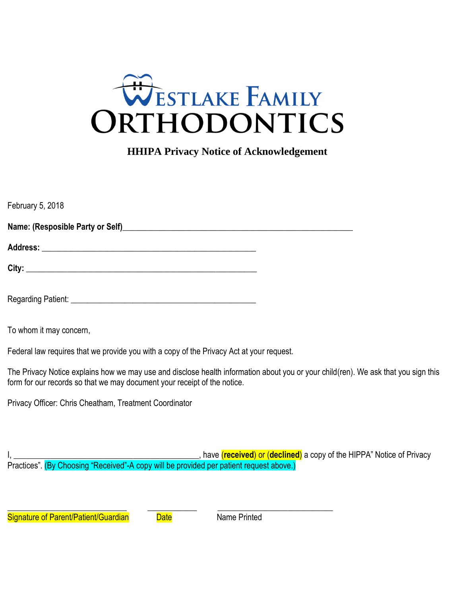

# **HHIPA Privacy Notice of Acknowledgement**

February 5, 2018

**Name: (Resposible Party or Self)\_\_\_\_\_\_\_\_\_\_\_\_\_\_\_\_\_\_\_\_\_\_\_\_\_\_\_\_\_\_\_\_\_\_\_\_\_\_\_\_\_\_\_\_\_\_\_\_\_\_\_\_\_\_\_\_**

**Address: \_\_\_\_\_\_\_\_\_\_\_\_\_\_\_\_\_\_\_\_\_\_\_\_\_\_\_\_\_\_\_\_\_\_\_\_\_\_\_\_\_\_\_\_\_\_\_\_\_\_\_\_**

**City: \_\_\_\_\_\_\_\_\_\_\_\_\_\_\_\_\_\_\_\_\_\_\_\_\_\_\_\_\_\_\_\_\_\_\_\_\_\_\_\_\_\_\_\_\_\_\_\_\_\_\_\_\_\_\_\_**

Regarding Patient: **Example 2018** 

To whom it may concern,

Federal law requires that we provide you with a copy of the Privacy Act at your request.

The Privacy Notice explains how we may use and disclose health information about you or your child(ren). We ask that you sign this form for our records so that we may document your receipt of the notice.

Privacy Officer: Chris Cheatham, Treatment Coordinator

I, \_\_\_\_\_\_\_\_\_\_\_\_\_\_\_\_\_\_\_\_\_\_\_\_\_\_\_\_\_\_\_\_\_\_\_\_\_\_\_\_\_\_\_\_\_, have (**received**) or (**declined**) a copy of the HIPPA" Notice of Privacy Practices". (By Choosing "Received"-A copy will be provided per patient request above.)

\_\_\_\_\_\_\_\_\_\_\_\_\_\_\_\_\_\_\_\_\_\_\_\_\_\_\_\_\_ \_\_\_\_\_\_\_\_\_\_\_\_ \_\_\_\_\_\_\_\_\_\_\_\_\_\_\_\_\_\_\_\_\_\_\_\_\_\_\_\_ Signature of Parent/Patient/Guardian Date Date Name Printed